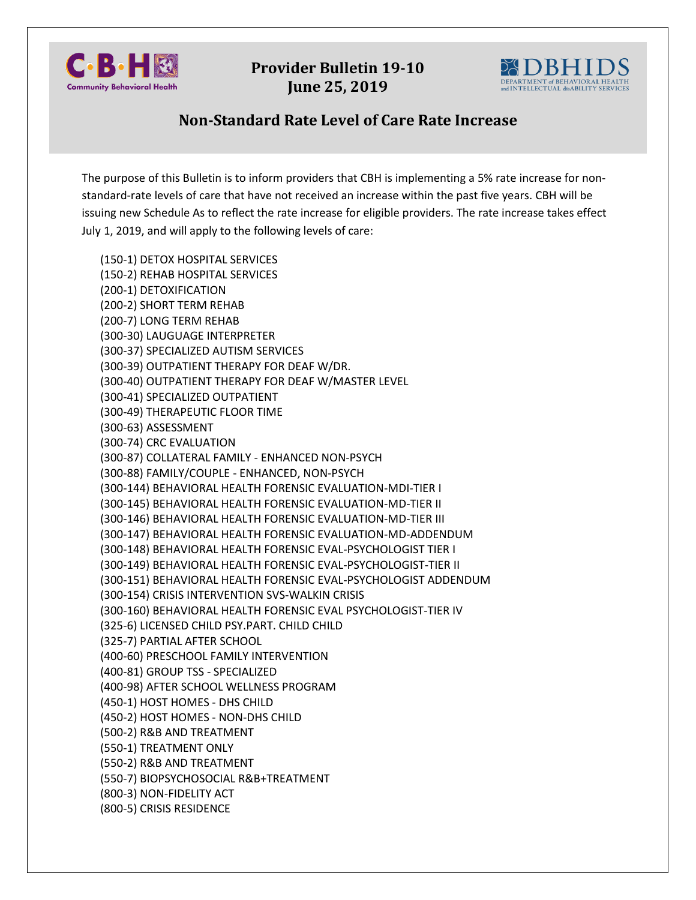

**Provider Bulletin 19-10 June 25, 2019**



## **Non-Standard Rate Level of Care Rate Increase**

The purpose of this Bulletin is to inform providers that CBH is implementing a 5% rate increase for nonstandard-rate levels of care that have not received an increase within the past five years. CBH will be issuing new Schedule As to reflect the rate increase for eligible providers. The rate increase takes effect July 1, 2019, and will apply to the following levels of care:

(150-1) DETOX HOSPITAL SERVICES (150-2) REHAB HOSPITAL SERVICES (200-1) DETOXIFICATION (200-2) SHORT TERM REHAB (200-7) LONG TERM REHAB (300-30) LAUGUAGE INTERPRETER (300-37) SPECIALIZED AUTISM SERVICES (300-39) OUTPATIENT THERAPY FOR DEAF W/DR. (300-40) OUTPATIENT THERAPY FOR DEAF W/MASTER LEVEL (300-41) SPECIALIZED OUTPATIENT (300-49) THERAPEUTIC FLOOR TIME (300-63) ASSESSMENT (300-74) CRC EVALUATION (300-87) COLLATERAL FAMILY - ENHANCED NON-PSYCH (300-88) FAMILY/COUPLE - ENHANCED, NON-PSYCH (300-144) BEHAVIORAL HEALTH FORENSIC EVALUATION-MDI-TIER I (300-145) BEHAVIORAL HEALTH FORENSIC EVALUATION-MD-TIER II (300-146) BEHAVIORAL HEALTH FORENSIC EVALUATION-MD-TIER III (300-147) BEHAVIORAL HEALTH FORENSIC EVALUATION-MD-ADDENDUM (300-148) BEHAVIORAL HEALTH FORENSIC EVAL-PSYCHOLOGIST TIER I (300-149) BEHAVIORAL HEALTH FORENSIC EVAL-PSYCHOLOGIST-TIER II (300-151) BEHAVIORAL HEALTH FORENSIC EVAL-PSYCHOLOGIST ADDENDUM (300-154) CRISIS INTERVENTION SVS-WALKIN CRISIS (300-160) BEHAVIORAL HEALTH FORENSIC EVAL PSYCHOLOGIST-TIER IV (325-6) LICENSED CHILD PSY.PART. CHILD CHILD (325-7) PARTIAL AFTER SCHOOL (400-60) PRESCHOOL FAMILY INTERVENTION (400-81) GROUP TSS - SPECIALIZED (400-98) AFTER SCHOOL WELLNESS PROGRAM (450-1) HOST HOMES - DHS CHILD (450-2) HOST HOMES - NON-DHS CHILD (500-2) R&B AND TREATMENT (550-1) TREATMENT ONLY (550-2) R&B AND TREATMENT (550-7) BIOPSYCHOSOCIAL R&B+TREATMENT (800-3) NON-FIDELITY ACT (800-5) CRISIS RESIDENCE